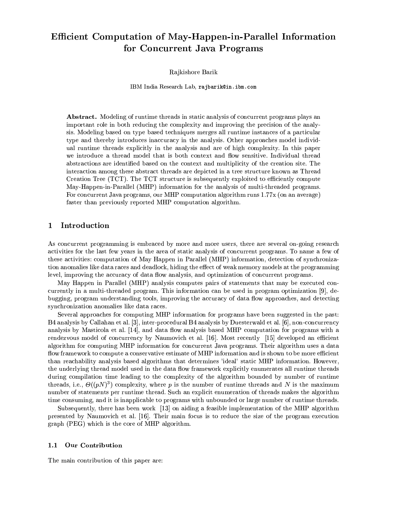# Efficient Computation of May-Happen-in-Parallel Information for Concurrent Java Programs

Rajkishore Barik

IBM India Research Lab, rajbarik@in.ibm.com

**Abstract.** Modeling of runtime threads in static analysis of concurrent programs plays an important role in both reducing the complexity and improving the precision of the analysis. Modeling based on type based techniques merges all runtime instances of a particular type and thereby introduces inaccuracy in the analysis. Other approaches model individual runtime threads explicitly in the analysis and are of high complexity. In this paper we introduce a thread model that is both context and flow sensitive. Individual thread abstractions are identified based on the context and multiplicity of the creation site. The interaction among these abstract threads are depicted in a tree structure known as Thread Creation Tree (TCT). The TCT structure is subsequently exploited to efficiently compute May-Happen-in-Parallel (MHP) information for the analysis of multi-threaded programs. For concurrent Java programs, our MHP computation algorithm runs 1.77x (on an average) faster than previously reported MHP computation algorithm.

#### $\mathbf{1}$ Introduction

As concurrent programming is embraced by more and more users, there are several on-going research activities for the last few years in the area of static analysis of concurrent programs. To name a few of these activities: computation of May Happen in Parallel (MHP) information, detection of synchronization anomalies like data races and deadlock, hiding the effect of weak memory models at the programming level, improving the accuracy of data flow analysis, and optimization of concurrent programs.

May Happen in Parallel (MHP) analysis computes pairs of statements that may be executed concurrently in a multi-threaded program. This information can be used in program optimization [9], debugging, program understanding tools, improving the accuracy of data flow approaches, and detecting synchronization anomalies like data races.

Several approaches for computing MHP information for programs have been suggested in the past: B4 analysis by Callahan et al. [3], inter-procedural B4 analysis by Duesterwald et al. [6], non-concurrency analysis by Masticola et al. [14], and data flow analysis based MHP computation for programs with a rendezvous model of concurrency by Naumovich et al. [16]. Most recently [15] developed an efficient algorithm for computing MHP information for concurrent Java programs. Their algorithm uses a data flow framework to compute a conservative estimate of MHP information and is shown to be more efficient than reachability analysis based algorithms that determines 'ideal' static MHP information. However, the underlying thread model used in the data flow framework explicitly enumerates all runtime threads during compilation time leading to the complexity of the algorithm bounded by number of runtime threads, i.e.,  $\Theta((pN)^3)$  complexity, where p is the number of runtime threads and N is the maximum number of statements per runtime thread. Such an explicit enumeration of threads makes the algorithm time consuming, and it is inapplicable to programs with unbounded or large number of runtime threads.

Subsequently, there has been work [13] on aiding a feasible implementation of the MHP algorithm presented by Naumovich et al. [16]. Their main focus is to reduce the size of the program execution graph (PEG) which is the core of MHP algorithm.

#### $1.1$ Our Contribution

The main contribution of this paper are: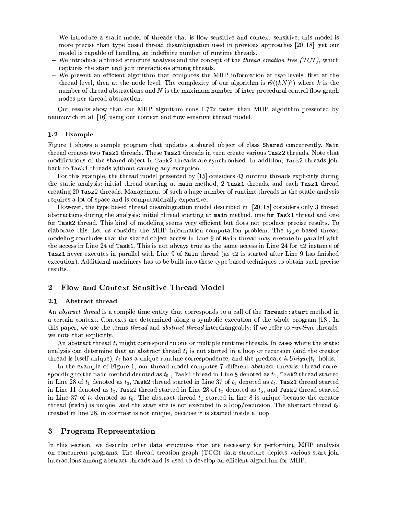- We introduce a static model of threads that is flow sensitive and context sensitive; this model is more precise than type based thread disambiguation used in previous approaches [20,18]; yet our model is capable of handling an indefinite number of runtime threads.
- We introduce a thread structure analysis and the concept of the *thread creation tree (TCT)*, which captures the start and join interactions among threads.
- We present an efficient algorithm that computes the MHP information at two levels: first at the thread level, then at the node level. The complexity of our algorithm is  $\Theta((kN)^2)$  where k is the number of thread abstractions and  $N$  is the maximum number of inter-procedural control flow graph nodes per thread abstraction.

Our results show that our MHP algorithm runs 1.77x faster than MHP algorithm presented by naumovich et al. [16] using our context and flow sensitive thread model.

### 1.2 Example

Figure 1 shows a sample program that updates a shared object of class Shared concurrently. Main thread creates two Task1 threads. These Task1 threads in turn create various Task2 threads. Note that modifications of the shared object in Task2 threads are synchronized. In addition, Task2 threads join back to Task1 threads without causing any exception.

For this example, the thread model presented by [15] considers 43 runtime threads explicitly during the static analysis; initial thread starting at main method, 2 Task1 threads, and each Task1 thread creating 20 Task2 threads. Management of such a huge number of runtime threads in the static analysis requires a lot of space and is computationally expensive.

However, the type based thread disambiguation model described in [20,18] considers only 3 thread abstractions during the analysis: initial thread starting at main method, one for Task1 thread and one for Task2 thread. This kind of modeling seems very efficient but does not produce precise results. To elaborate this: Let us consider the MHP information computation problem. The type based thread modeling concludes that the shared object access in Line 9 of Main thread may execute in parallel with the access in Line 24 of Task1. This is not always true as the same access in Line 24 for t2 instance of Task1 never executes in parallel with Line 9 of Main thread (as t2 is started after Line 9 has finished execution). Additional machinery has to be built into these type based techniques to obtain such precise results.

#### Flow and Context Sensitive Thread Model  $\bf{2}$

#### Abstract thread  $2.1$

An abstract thread is a compile time entity that corresponds to a call of the Thread: start method in a certain context. Contexts are determined along a symbolic execution of the whole program [18]. In this paper, we use the terms *thread* and *abstract thread* interchangeably; if we refer to *runtime* threads, we note that explicitly.

An abstract thread  $t_i$  might correspond to one or multiple runtime threads. In cases where the static analysis can determine that an abstract thread  $t_i$  is not started in a loop or recursion (and the creator thread is itself unique),  $t_i$  has a unique runtime correspondence, and the predicate is Unique  $[t_i]$  holds.

In the example of Figure 1, our thread model computes 7 different abstract threads: thread corresponding to the main method denoted as  $t_0$ , Task1 thread in Line 8 denoted as  $t_1$ , Task2 thread started in Line 28 of  $t_1$  denoted as  $t_3$ , Task2 thread started in Line 37 of  $t_1$  denoted as  $t_4$ , Task1 thread started in Line 11 denoted as  $t_2$ , Task2 thread started in Line 28 of  $t_2$  denoted as  $t_5$ , and Task2 thread started in Line 37 of  $t_2$  denoted as  $t_6$ . The abstract thread  $t_1$  started in line 8 is unique because the creator thread (main) is unique, and the start site is not executed in a loop/recursion. The abstract thread  $t_3$ created in line 28, in contrast is not unique, because it is started inside a loop.

#### **Program Representation** 3

In this section, we describe other data structures that are necessary for performing MHP analysis on concurrent programs. The thread creation graph (TCG) data structure depicts various start-join interactions among abstract threads and is used to develop an efficient algorithm for MHP.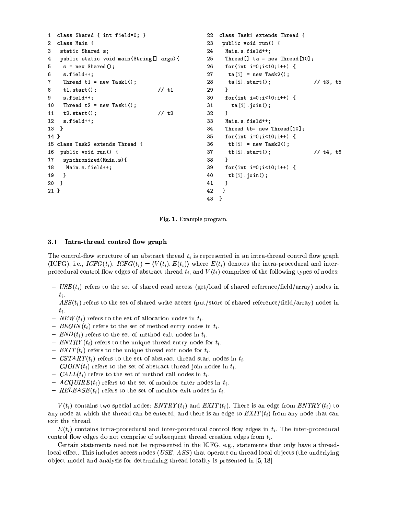```
1 class Shared { int field=0; }
                                                             22 class Task1 extends Thread {
\overline{2}class Main { \begin{array}{ccc} 23 & \text{public void run() } \{ \end{array}3
    guestatic Shared s; https://www.fathermole.com/static Shared symmetry and static state of 24 Main.s.field++;
£public static void main(String[] args){ 25 >¨4
ª\blacksquare . The first intervals in the first intervals in the first intervals \blacksquare ; is strongly in the first intervals \blacksquare\epsilons.field++; 27 ta[i] = new Task2();\overline{7} .GtGu.a 28 ta[i].start(); \frac{1}{5} // t3, t5
¯\mathcal{L} , and \mathcal{L} are \mathcal{L} and \mathcal{L} are \mathcal{L} and \mathcal{L} are \mathcal{L} and \mathcal{L} are \mathcal{L} and \mathcal{L} are \mathcal{L} and \mathcal{L} are \mathcal{L} and \mathcal{L} and \mathcal{L} are \mathcal{L} and \mathcal{L} an
³\frac{1}{2} , the sympath is found in the sympath of \frac{1}{2} is the sympath in the sympath in the sympath in the sympath in the sympath in the sympath in the sympath in the sympath in the sympath in the sympath in the sym
10
     Thread t2 = new Task1(); 31 ta[i].join();11
     t2.start(); // t2 32 }
12
     s.field++; 33 Main.s.field++;
13 }
                                                              34 Thread tb= new Thread [10];
14}
                                                             35 for(int i=0; i<10; i++) {
 ªá>u:K6uiz%a>::r|lK>wtGu.@ :¬ xQ§[ym¨Ñ|".«6ukz%, x¡
16
   public void run() { \begin{array}{ccc}37 & t \text{ b}[i].\text{start}(); \end{array} // t4, t6
17
     synchronized(Main.s){ 38 }
18
      Main.s.field++; \begin{array}{ccc} 39 & \text{for (int i=0; i<10; i++)} \end{array}19
     \} \qquad \qquad 40 \qquad \qquad \text{tb[i].join();}20 }
              the control of the control of the control of the control of the control of the control of the control of the co
                                                              41}
-
     £" 
                                                              43 }
```
Fig. 1. Example program.

### Å <sup>ë</sup> <sup>Æ</sup>ðGiÇU.d`eµSï+ðGï=ZÈïiÉËÊ%G6Ìd

The control-flow structure of an abstract thread  $t_i$  is represented in an intra-thread control flow graph ²³ª°ºê/´¼+J^¢ TS¢X¼4Í" FÎ|ϲq <sup>s</sup> ´¢7Í FÎ|Ï²©q <sup>s</sup> ´5ÐÒÑÓ²©q <sup>s</sup> ´hÔÖÕ²©q <sup>s</sup> ´Ø× «NTrRoT²Õ²©q <sup>s</sup> ´)TPSoTrL)oNQTJX`oRiEG¡[RoPTrRiE6E6Q½J`oTrRO¡ procedural control flow edges of abstract thread  $t_i$ , and  $V(t_i)$  comprises of the following types of nodes:

- $H\mathcal{C}\mathbf{F}(t)$  refers to the set of shared read access (got (lead of shared reference  $\mathsf{fold}(v_1, v_2, \ldots, v_n)$  $t_i$ .
- $-ASS(t_i)$  refers to the set of shared write access (put/store of shared reference/field/array) nodes in  $t_i$ .
- $-P\text{ }NEW(t_i)$  refers to the set of allocation nodes in  $t_i$ .
- $\textit{BEGIN}(t_i)$  refers to the set of method entry nodes in  $t_i$ .
- $END(t_i)$  refers to the set of method exit nodes in  $t_i$ .
- =  $ENTRY(t_i)$  refers to the unique thread entry node for  $t_i$ .
- $EXTT(t_i)$  refers to the unique thread exit node for  $t_i$ .
- <sup>ò</sup> QÙÛã0 ²©qs[´¦RoT¹TRiL¦oPoNT'LoTPSESQLIURUEbkWoNQRoTES LIiE6RoWQPKTrLWJXáqso¢
- $CIOIN(t_1)$  refers to the set of abstract thread join nodes in t
- $\overline{CATL(t)}$  refers to the set of method call nodes in t.
- $\Lambda$  COUUD  $F(t)$  refers to the set of menitor enter podes in t
- $\overline{E} = RELEASE(t.)$  refers to the set of monitor exit nodes in t.

 $V(t_i)$  contains two special nodes:  $ENTRY(t_i)$  and  $EXIT(t_i)$ . There is an edge from  $ENTRY(t_i)$  to  $E$  and  $E$  is the contract on the contract of  $\mathbb{R}$  . The contract of  $\mathbb{R}$  is the contract of  $\mathbb{R}$  is the contract of  $\mathbb{R}$  is the contract of  $\mathbb{R}$  is the contract of  $\mathbb{R}$  is the contract of  $\mathbb{R}$ exit the thread.

 $\bm{\varPi}(t)$  sourcesting the first second contract the first order  $\bm{\varPi}$  and  $\bm{\varPi}$  and  $\bm{\varPi}$  and  $\bm{\varPi}$  and  $\bm{\varPi}$  and  $\bm{\varPi}$  and  $\bm{\varPi}$ control flow edges do not comprise of subsequent thread creation edges from  $t_i$ .

Certain statements need not be represented in the ICFG, e.g., statements that only have a thread- $\log_{10}$  effect. This includes access nodes (HSF)  $ASS$ ) that operate on thread local objects (the underlying object model and analysis for determining thread locality is presented in  $[5, 18]$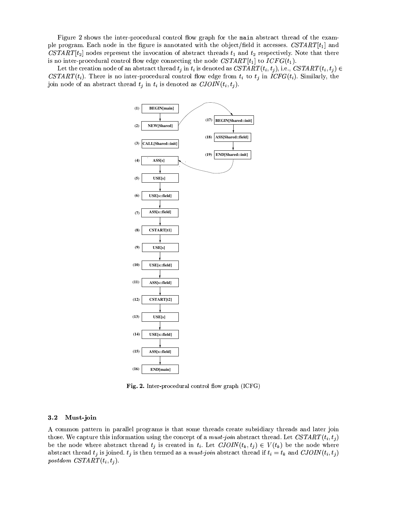Figure 2 shows the inter-procedural control flow graph for the main abstract thread of the example program. Each node in the figure is annotated with the object/field it accesses.  $CSTART[t_1]$  and CSTART[t<sub>2</sub>] nodes represent the invocation of abstract threads  $t_1$  and  $t_2$  respectively. Note that there is no inter-procedural control flow edge connecting the node  $\text{CSTART}[t_1]$  to  $\text{ICFG}(t_1)$ .

Let the creation node of an abstract thread  $t_j$  in  $t_i$  is denoted as  $CSTART(t_i, t_j)$ , i.e.,  $CSTART(t_i, t_j) \in$  $CSTART(t_i)$ . There is no inter-procedural control flow edge from  $t_i$  to  $t_j$  in  $ICFG(t_i)$ . Similarly, the join node of an abstract thread  $t_j$  in  $t_i$  is denoted as  $CJOIN(t_i, t_j)$ .



Fig. 2. Inter-procedural control flow graph (ICFG)

### 3.2 Must-join

A common pattern in parallel programs is that some threads create subsidiary threads and later join those. We capture this information using the concept of a *must-join* abstract thread. Let  $CSTART(t_i, t_i)$ be the node where abstract thread  $t_j$  is created in  $t_i$ . Let  $CJOIN(t_k, t_j) \in V(t_k)$  be the node where abstract thread  $t_j$  is joined.  $t_j$  is then termed as a *must-join* abstract thread if  $t_i = t_k$  and  $CJOIN(t_i, t_j)$ postdom  $CSTART(t_i, t_j)$ .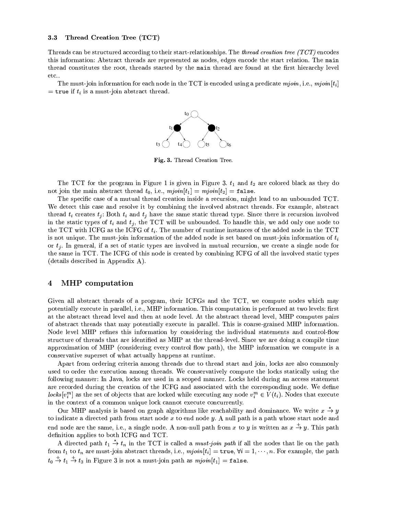#### Thread Creation Tree (TCT)  $3.3$

Threads can be structured according to their start-relationships. The thread creation tree  $(TCT)$  encodes this information: Abstract threads are represented as nodes, edges encode the start relation. The main thread constitutes the root, threads started by the main thread are found at the first hierarchy level etc..

The must-join information for each node in the TCT is encoded using a predicate  $m$ *join*, i.e.,  $m$ *join*[ $t_i$ ] = true if  $t_i$  is a must-join abstract thread.



Fig. 3. Thread Creation Tree.

The TCT for the program in Figure 1 is given in Figure 3.  $t_1$  and  $t_2$  are colored black as they do not join the main abstract thread  $t_0$ , i.e.,  $mjoin[t_1] = mjoin[t_2] = false$ .

The specific case of a mutual thread creation inside a recursion, might lead to an unbounded TCT. We detect this case and resolve it by combining the involved abstract threads. For example, abstract thread  $t_i$  creates  $t_j$ : Both  $t_i$  and  $t_j$  have the same static thread type. Since there is recursion involved in the static types of  $t_i$  and  $t_j$ , the TCT will be unbounded. To handle this, we add only one node to the TCT with ICFG as the ICFG of  $t_i$ . The number of runtime instances of the added node in the TCT is not unique. The must-join information of the added node is set based on must-join information of  $t_i$ or  $t_i$ . In general, if a set of static types are involved in mutual recursion, we create a single node for the same in TCT. The ICFG of this node is created by combining ICFG of all the involved static types (details described in Appendix A).

#### MHP computation 4

Given all abstract threads of a program, their ICFGs and the TCT, we compute nodes which may potentially execute in parallel, *i.e.*, MHP information. This computation is performed at two levels: first at the abstract thread level and then at node level. At the abstract thread level, MHP computes pairs of abstract threads that may potentially execute in parallel. This is coarse-grained MHP information. Node level MHP refines this information by considering the individual statements and control-flow structure of threads that are identified as MHP at the thread-level. Since we are doing a compile time approximation of MHP (considering every control flow path), the MHP information we compute is a conservative superset of what actually happens at runtime.

Apart from ordering criteria among threads due to thread start and join, locks are also commonly used to order the execution among threads. We conservatively compute the locks statically using the following manner: In Java, locks are used in a scoped manner. Locks held during an access statement are recorded during the creation of the ICFG and associated with the corresponding node. We define  $|locks[v_i^m]|$  as the set of objects that are locked while executing any node  $v_i^m \in V(t_i)$ . Nodes that execute in the context of a common unique lock cannot execute concurrently.

Our MHP analysis is based on graph algorithms like reachability and dominance. We write  $x \stackrel{*}{\rightarrow} y$ to indicate a directed path from start node  $x$  to end node  $y$ . A null path is a path whose start node and end node are the same, i.e., a single node. A non-null path from x to y is written as  $x \stackrel{+}{\rightarrow} y$ . This path definition applies to both ICFG and TCT.

A directed path  $t_1 \stackrel{*}{\rightarrow} t_n$  in the TCT is called a *must-join path* if all the nodes that lie on the path from  $t_1$  to  $t_n$  are must-join abstract threads, i.e.,  $mjoin[t_i] = \text{true}, \forall i = 1, \dots, n$ . For example, the path  $t_0 \stackrel{+}{\rightarrow} t_1 \stackrel{+}{\rightarrow} t_3$  in Figure 3 is not a must-join path as  $mjoin[t_1] = false$ .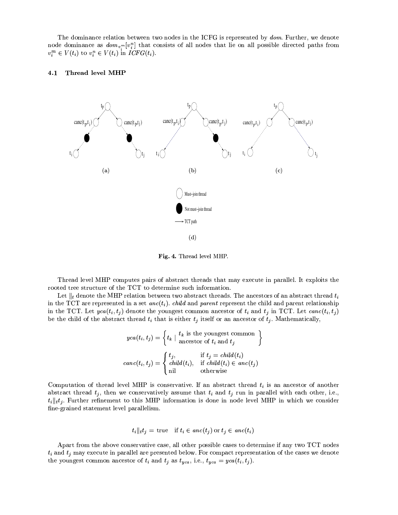The dominance relation between two nodes in the ICFG is represented by *dom*. Further, we denote node dominance as  $dom_{v^m}[v_i^n]$  that consists of all nodes that lie on all possible directed paths from  $v_i^m \in V(t_i)$  to  $v_i^n \in V(t_i)$  in *ICFG* $(t_i)$ .

#### Thread level MHP  $4.1$



Fig. 4. Thread level MHP.

Thread level MHP computes pairs of abstract threads that may execute in parallel. It exploits the rooted tree structure of the TCT to determine such information.

Let  $\|_t$  denote the MHP relation between two abstract threads. The ancestors of an abstract thread  $t_i$ in the TCT are represented in a set anc( $t_i$ ). child and parent represent the child and parent relationship in the TCT. Let  $yca(t_i, t_j)$  denote the youngest common ancestor of  $t_i$  and  $t_j$  in TCT. Let  $canc(t_i, t_j)$ be the child of the abstract thread  $t_i$  that is either  $t_j$  itself or an ancestor of  $t_j$ . Mathematically,

$$
yca(t_i, t_j) = \left\{ t_k \mid \begin{array}{l} t_k \text{ is the youngest common} \\ \text{ancestor of } t_i \text{ and } t_j \end{array} \right\}
$$

$$
canc(t_i, t_j) = \begin{cases} t_j, & \text{if } t_j = child(t_i) \\ child(t_i), & \text{if } child(t_i) \in anc(t_j) \\ \text{nil} & \text{otherwise} \end{cases}
$$

Computation of thread level MHP is conservative. If an abstract thread  $t_i$  is an ancestor of another abstract thread  $t_j$ , then we conservatively assume that  $t_i$  and  $t_j$  run in parallel with each other, i.e.,  $t_i||_{t}t_j$ . Further refinement to this MHP information is done in node level MHP in which we consider fine-grained statement level parallelism.

$$
t_i||_t t_j = \text{true} \quad \text{if } t_i \in \text{anc}(t_j) \text{ or } t_j \in \text{anc}(t_i)
$$

Apart from the above conservative case, all other possible cases to determine if any two TCT nodes  $t_i$  and  $t_j$  may execute in parallel are presented below. For compact representation of the cases we denote the youngest common ancestor of  $t_i$  and  $t_j$  as  $t_{yca}$ , i.e.,  $t_{yca} = yca(t_i, t_j)$ .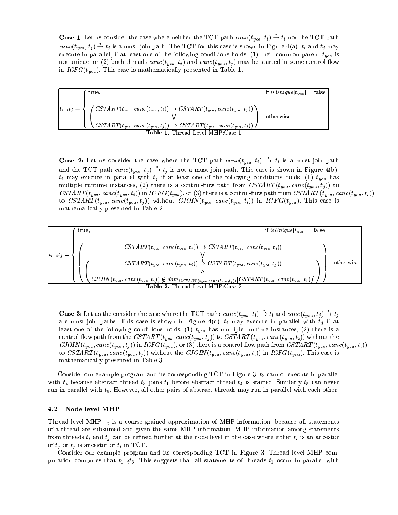- Case 1: Let us consider the case where neither the TCT path  $canc(t_{yca}, t_i) \stackrel{*}{\rightarrow} t_i$  nor the TCT path  $canc(t_{vca}, t_i) \stackrel{*}{\rightarrow} t_i$  is a must-join path. The TCT for this case is shown in Figure 4(a).  $t_i$  and  $t_j$  may execute in parallel, if at least one of the following conditions holds: (1) their common parent  $t_{uca}$  is not unique, or (2) both threads  $canc(t_{vca}, t_i)$  and  $canc(t_{vca}, t_i)$  may be started in some control-flow in  $ICFG(t_{uca})$ . This case is mathematically presented in Table 1.



- Case 2: Let us consider the case where the TCT path  $canc(t_{yca}, t_i) \stackrel{*}{\rightarrow} t_i$  is a must-join path and the TCT path  $canc(t_{yca}, t_j) \stackrel{*}{\rightarrow} t_j$  is not a must-join path. This case is shown in Figure 4(b).  $t_i$  may execute in parallel with  $t_j$  if at least one of the following conditions holds: (1)  $t_{yca}$  has multiple runtime instances, (2) there is a control-flow path from  $CSTART(t_{yca}, canc(t_{yca}, t_j))$  to  $CSTART(t_{yca},canc(t_{yca},t_i))$  in  $ICFG(t_{yca})$ , or (3) there is a control-flow path from  $CSTART(t_{yca},canc(t_{yca},t_i))$ to  $CSTART(t_{yca},canc(t_{yca},t_j))$  without  $CJOIN(t_{yca},canc(t_{yca},t_i))$  in  $ICFG(t_{yca})$ . This case is mathematically presented in Table 2.



**Case 3:** Let us the consider the case where the TCT paths  $canc(t_{yca}, t_i) \stackrel{*}{\to} t_i$  and  $canc(t_{yca}, t_j) \stackrel{*}{\to} t_j$ are must-join paths. This case is shown in Figure 4(c).  $t_i$  may execute in parallel with  $t_j$  if at least one of the following conditions holds: (1)  $t_{yca}$  has multiple runtime instances, (2) there is a control-flow path from the CSTART( $t_{yca}$ , canc( $t_{yca}$ ,  $t_j$ )) to CSTART( $t_{yca}$ , canc( $t_{yca}$ ,  $t_i$ )) without the  $CJOIN(t_{yca},canc(t_{yca},t_j))$  in  $ICFG(t_{yca})$ , or (3) there is a control-flow path from  $CSTART(t_{yca},canc(t_{yca},t_i))$ to  $CSTART(t_{wca}, canc(t_{wca}, t_i))$  without the  $CJOIN(t_{wca}, canc(t_{wca}, t_i))$  in  $ICFG(t_{wca})$ . This case is mathematically presented in Table 3.

Consider our example program and its corresponding  $TCT$  in Figure 3.  $t_3$  cannot execute in parallel with  $t_4$  because abstract thread  $t_3$  joins  $t_1$  before abstract thread  $t_4$  is started. Similarly  $t_5$  can never run in parallel with  $t_6$ . However, all other pairs of abstract threads may run in parallel with each other.

### 4.2 Node level MHP

Thread level MHP  $\|_t$  is a coarse grained approximation of MHP information, because all statements of a thread are subsumed and given the same MHP information. MHP information among statements from threads  $t_i$  and  $t_j$  can be refined further at the node level in the case where either  $t_i$  is an ancestor of  $t_i$  or  $t_i$  is ancestor of  $t_i$  in TCT.

Consider our example program and its corresponding TCT in Figure 3. Thread level MHP computation computes that  $t_1||_t t_3$ . This suggests that all statements of threads  $t_1$  occur in parallel with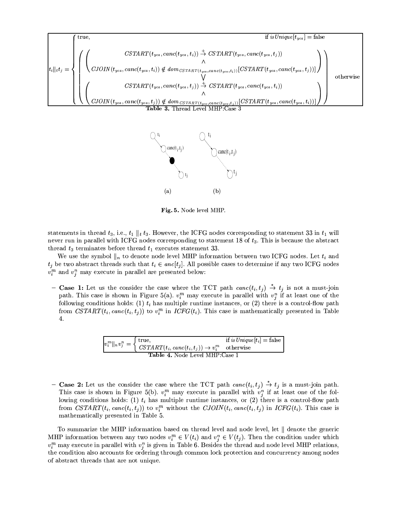

Table 3. Thread Level MHP:Case 3



Fig. 5. Node level MHP.

statements in thread  $t_3$ , i.e.,  $t_1 \parallel_t t_3$ . However, the ICFG nodes corresponding to statement 33 in  $t_1$  will never run in parallel with ICFG nodes corresponding to statement 18 of  $t_3$ . This is because the abstract thread  $t_3$  terminates before thread  $t_1$  executes statement 33.

We use the symbol  $\parallel_n$  to denote node level MHP information between two ICFG nodes. Let  $t_i$  and  $t_j$  be two abstract threads such that  $t_i \in anc[t_j]$ . All possible cases to determine if any two ICFG nodes  $v_i^m$  and  $v_i^n$  may execute in parallel are presented below:

**Case 1:** Let us the consider the case where the TCT path  $canc(t_i, t_j) \rightarrow t_j$  is not a must-join path. This case is shown in Figure 5(a).  $v_i^m$  may execute in parallel with  $v_i^n$  if at least one of the following conditions holds: (1)  $t_i$  has multiple runtime instances, or (2) there is a control-flow path from  $CSTART(t_i, \text{canc}(t_i, t_j))$  to  $v_i^m$  in  $ICFG(t_i)$ . This case is mathematically presented in Table 4.

|                                                                                                                                                                                                                                                                                                                                                                                                                |  | if is $Unique[t_i] = false$ |  |
|----------------------------------------------------------------------------------------------------------------------------------------------------------------------------------------------------------------------------------------------------------------------------------------------------------------------------------------------------------------------------------------------------------------|--|-----------------------------|--|
|                                                                                                                                                                                                                                                                                                                                                                                                                |  |                             |  |
| $\begin{aligned} \text{L}_{\mathscr{A}_{i}} \cdot   _{n} v_{j}^{n} &= \left\{ \begin{array}{l} \text{true}, \ \text{CSTART}(\underline{t}_{i}, \text{cancel}(t_{i}, \underline{t}_{j})) \rightarrow v_{i}^{m} \quad \text{otherwise}, \ \text{CSTART}(\underline{t}_{i}, \text{cancel}(t_{i}, \underline{t}_{j})) \rightarrow \text{CFT} \end{array} \right. \end{aligned}$<br>Table 4. Node Level MHP: Case 1 |  |                             |  |

- Case 2: Let us the consider the case where the TCT path  $canc(t_i, t_j) \rightarrow t_j$  is a must-join path. This case is shown in Figure 5(b).  $v_i^m$  may execute in parallel with  $v_i^n$  if at least one of the following conditions holds: (1)  $t_i$  has multiple runtime instances, or (2) there is a control-flow path from  $CSTART(t_i, canc(t_i,t_j))$  to  $v_i^m$  without the  $CJOIN(t_i, canc(t_i,t_j))$  in  $ICFG(t_i)$ . This case is mathematically presented in Table 5.

To summarize the MHP information based on thread level and node level, let  $\parallel$  denote the generic MHP information between any two nodes  $v_i^m \in V(t_i)$  and  $v_i^n \in V(t_j)$ . Then the condition under which  $v_i^m$  may execute in parallel with  $v_i^n$  is given in Table 6. Besides the thread and node level MHP relations, the condition also accounts for ordering through common lock protection and concurrency among nodes of abstract threads that are not unique.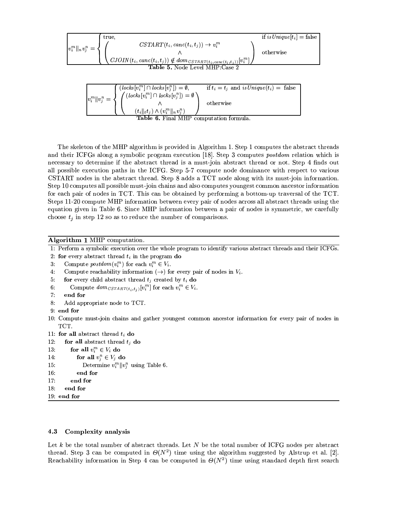

| $v_i^m\ v_j^n = \langle$                       | $(loc\kappa s[v_i] + loc\kappa s[v_i]) = \mathbf{v},$<br>$(locks[v_i^m] \cap locks[v_j^n]) = \emptyset$<br>$(t_i  _t t_j) \wedge (v_i^m  _n v_i^n)$ | If $i_i = i_j$ and is <i>Unique</i> $(i_i) =$ Taise<br>otherwise |  |  |
|------------------------------------------------|-----------------------------------------------------------------------------------------------------------------------------------------------------|------------------------------------------------------------------|--|--|
| <b>Table 6.</b> Final MHP computation formula. |                                                                                                                                                     |                                                                  |  |  |

The skeleton of the MHP algorithm is provided in Algorithm 1. Step 1 computes the abstract threads and their ICFGs along a symbolic program execution [18]. Step 3 computes *postdom* relation which is necessary to determine if the abstract thread is a must-join abstract thread or not. Step 4 finds out all possible execution paths in the ICFG. Step 5-7 compute node dominance with respect to various CSTART nodes in the abstract thread. Step 8 adds a TCT node along with its must-join information. Step 10 computes all possible must-join chains and also computes youngest common ancestor information for each pair of nodes in TCT. This can be obtained by performing a bottom-up traversal of the TCT. Steps 11-20 compute MHP information between every pair of nodes across all abstract threads using the equation given in Table 6. Since MHP information between a pair of nodes is symmetric, we carefully choose  $t_j$  in step 12 so as to reduce the number of comparisons.

Algorithm 1 MHP computation.

1: Perform a symbolic execution over the whole program to identify various abstract threads and their ICFGs.

- 2: for every abstract thread  $t_i$  in the program do
- $3.$ Compute  $\textit{postdom}(v_i^m)$  for each  $v_i^m \in V_i$ .
- $\overline{4}$ : Compute reachability information  $(\rightarrow)$  for every pair of nodes in  $V_i$ .
- $5:$ for every child abstract thread  $t_i$  created by  $t_i$  do
- $6:$ Compute  $dom_{\text{CSTART}(t_i, t_i)}[v_i^m]$  for each  $v_i^m \in V_i$ .
- $7:$ end for
- $8:$ Add appropriate node to TCT.
- 9: end for
- 10: Compute must-join chains and gather youngest common ancestor information for every pair of nodes in TCT.
- 11: for all abstract thread  $t_i$  do
- 12. for all abstract thread  $t_i$  do
- for all  $v_i^m \in V_i$  do 13.
- $14:$ for all  $v_i^n \in V_j$  do
- $15.$ Determine  $v_i^m || v_i^n$  using Table 6.
- 16. end for
- end for  $17:$
- 18. end for
- 19 end for

#### 4.3 Complexity analysis

Let k be the total number of abstract threads. Let N be the total number of ICFG nodes per abstract thread. Step 3 can be computed in  $\Theta(N^2)$  time using the algorithm suggested by Alstrup et al. [2]. Reachability information in Step 4 can be computed in  $\Theta(N^2)$  time using standard depth first search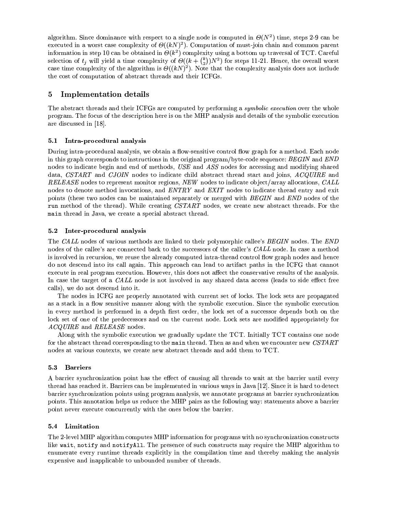algorithm. Since dominance with respect to a single node is computed in  $\Theta(N^2)$  time, steps 2-9 can be executed in a worst case complexity of  $\Theta((kN)^2)$ . Computation of must-join chain and common parent information in step 10 can be obtained in  $\Theta(k^2)$  complexity using a bottom up traversal of TCT. Careful selection of  $t_i$  will yield a time complexity of  $\Theta((k + {k \choose 2})N^2)$  for steps 11-21. Hence, the overall worst case time complexity of the algorithm is  $\Theta((kN)^2)$ . Note that the complexity analysis does not include the cost of computation of abstract threads and their ICFGs.

#### **Implementation details** 5

The abstract threads and their ICFGs are computed by performing a symbolic execution over the whole program. The focus of the description here is on the MHP analysis and details of the symbolic execution are discussed in [18].

# 5.1 Intra-procedural analysis

During intra-procedural analysis, we obtain a flow-sensitive control flow graph for a method. Each node in this graph corresponds to instructions in the original program/byte-code sequence: BEGIN and END nodes to indicate begin and end of methods, USE and ASS nodes for accessing and modifying shared data, CSTART and CJOIN nodes to indicate child abstract thread start and joins, ACQUIRE and RELEASE nodes to represent monitor regions, NEW nodes to indicate object/array allocations, CALL nodes to denote method invocations, and ENTRY and EXIT nodes to indicate thread entry and exit points (these two nodes can be maintained separately or merged with BEGIN and END nodes of the run method of the thread). While creating CSTART nodes, we create new abstract threads. For the main thread in Java, we create a special abstract thread.

# 5.2 Inter-procedural analysis

The CALL nodes of various methods are linked to their polymorphic callee's BEGIN nodes. The END nodes of the callee's are connected back to the successors of the caller's CALL node. In case a method is involved in recursion, we reuse the already computed intra-thread control flow graph nodes and hence do not descend into its call again. This approach can lead to artifact paths in the ICFG that cannot execute in real program execution. However, this does not affect the conservative results of the analysis. In case the target of a CALL node is not involved in any shared data access (leads to side effect free calls), we do not descend into it.

The nodes in ICFG are properly annotated with current set of locks. The lock sets are propagated as a stack in a flow sensitive manner along with the symbolic execution. Since the symbolic execution in every method is performed in a depth first order, the lock set of a successor depends both on the lock set of one of the predecessors and on the current node. Lock sets are modified appropriately for ACQUIRE and RELEASE nodes.

Along with the symbolic execution we gradually update the TCT. Initially TCT contains one node for the abstract thread corresponding to the main thread. Then as and when we encounter new CSTART nodes at various contexts, we create new abstract threads and add them to TCT.

## 5.3 Barriers

A barrier synchronization point has the effect of causing all threads to wait at the barrier until every thread has reached it. Barriers can be implemented in various ways in Java [12]. Since it is hard to detect barrier synchronization points using program analysis, we annotate programs at barrier synchronization points. This annotation helps us reduce the MHP pairs as the following way: statements above a barrier point never execute concurrently with the ones below the barrier.

## 5.4 Limitation

The 2-level MHP algorithm computes MHP information for programs with no synchronization constructs like wait, notify and notify All. The presence of such constructs may require the MHP algorithm to enumerate every runtime threads explicitly in the compilation time and thereby making the analysis expensive and inapplicable to unbounded number of threads.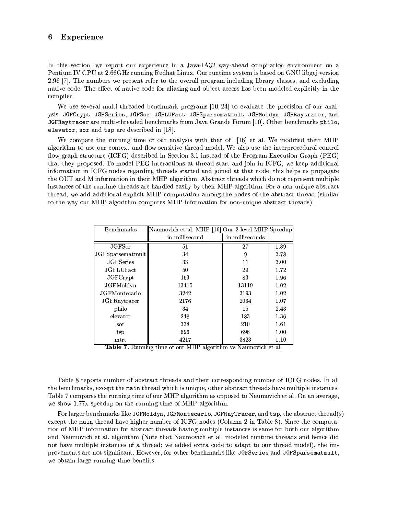#### 6 Experience

In this section, we report our experience in a Java-IA32 way-ahead compilation environment on a Pentium IV CPU at 2.66GHz running Redhat Linux. Our runtime system is based on GNU libgci version 2.96 [7]. The numbers we present refer to the overall program including library classes, and excluding native code. The effect of native code for aliasing and object access has been modeled explicitly in the compiler.

We use several multi-threaded benchmark programs  $[10, 24]$  to evaluate the precision of our analysis. JGFCrypt, JGFSeries, JGFSor, JGFLUFact, JGFSparsematmult, JGFMoldyn, JGFRaytracer, and JGFRaytracer are multi-threaded benchmarks from Java Grande Forum [10]. Other benchmarks philo, elevator, sor and tsp are described in  $[18]$ .

We compare the running time of our analysis with that of  $[16]$  et al. We modified their MHP algorithm to use our context and flow sensitive thread model. We also use the interprocedural control flow graph structure (ICFG) described in Section 3.1 instead of the Program Execution Graph (PEG) that they proposed. To model PEG interactions at thread start and join in ICFG, we keep additional information in ICFG nodes regarding threads started and joined at that node; this helps us propagate the OUT and M information in their MHP algorithm. Abstract threads which do not represent multiple instances of the runtime threads are handled easily by their MHP algorithm. For a non-unique abstract thread, we add additional explicit MHP computation among the nodes of the abstract thread (similar to the way our MHP algorithm computes MHP information for non-unique abstract threads).

| <b>Benchmarks</b>       | Naumovich et al. MHP [16] Our 2-level MHP Speedup |                 |      |
|-------------------------|---------------------------------------------------|-----------------|------|
|                         | in millisecond                                    | in milliseconds |      |
| JGFSor                  | 51                                                | 27              | 1.89 |
| <b>JGFSparsematmult</b> | 34                                                | 9               | 3.78 |
| <b>JGFSeries</b>        | 33                                                | 11              | 3.00 |
| <b>JGFLUFact</b>        | 50                                                | 29              | 1.72 |
| <b>JGFCrypt</b>         | 163                                               | 83              | 1.96 |
| JGFMoldyn               | 13415                                             | 13119           | 1.02 |
| <b>JGFMontecarlo</b>    | 3242                                              | 3193            | 1.02 |
| <b>JGFRaytracer</b>     | 2176                                              | 2034            | 1.07 |
| philo                   | 34                                                | 15              | 2.43 |
| elevator                | 248                                               | 183             | 1.36 |
| sor                     | 338                                               | 210             | 1.61 |
| tsp                     | 696                                               | 696             | 1.00 |
| $m$ trt                 | 4217                                              | 3823            | 1.10 |

Table 7. Running time of our MHP algorithm vs Naumovich et al.

Table 8 reports number of abstract threads and their corresponding number of ICFG nodes. In all the benchmarks, except the main thread which is unique, other abstract threads have multiple instances. Table 7 compares the running time of our MHP algorithm as opposed to Naumovich et al. On an average, we show 1.77x speedup on the running time of MHP algorithm.

For larger benchmarks like JGFMo1dyn, JGFMontecarlo, JGFRayTracer, and tsp, the abstract thread(s) except the main thread have higher number of ICFG nodes (Column 2 in Table 8). Since the computation of MHP information for abstract threads having multiple instances is same for both our algorithm and Naumovich et al. algorithm (Note that Naumovich et al. modeled runtime threads and hence did not have multiple instances of a thread; we added extra code to adapt to our thread model), the improvements are not significant. However, for other benchmarks like JGFSeries and JGFSparsematmult, we obtain large running time benefits.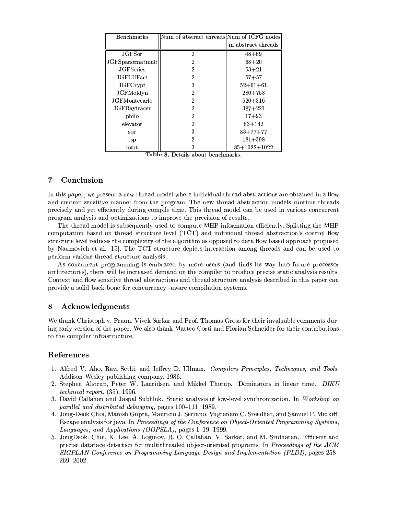| <b>Benchmarks</b>       | Num of abstract threads Num of ICFG nodes |                     |
|-------------------------|-------------------------------------------|---------------------|
|                         |                                           | in abstract threads |
| JGFSor                  | 2                                         | $48 + 69$           |
| <b>JGFSparsematmult</b> | 2                                         | $68 + 20$           |
| <b>JGFSeries</b>        | 2                                         | $53 + 21$           |
| <b>JGFLUFact</b>        | 2                                         | $57 + 57$           |
| JGFCrypt                | 3                                         | $52 + 61 + 61$      |
| JGFMoldyn               | 2                                         | $280 + 758$         |
| <b>JGFMontecarlo</b>    | 2                                         | $520 + 316$         |
| <b>JGFRaytracer</b>     | 2                                         | $387 + 221$         |
| philo                   | 2                                         | $17 + 93$           |
| elevator                | 2                                         | $83 + 142$          |
| sor                     | 3                                         | $83 + 77 + 77$      |
| tsp                     | $\overline{2}$                            | $181 + 398$         |
| $m$ trt                 | 3                                         | $85 + 1022 + 1022$  |

Table 8. Details about benchmarks.

#### Conclusion  $\overline{7}$

In this paper, we present a new thread model where individual thread abstractions are obtained in a flow and context sensitive manner from the program. The new thread abstraction models runtime threads precisely and yet efficiently during compile time. This thread model can be used in various concurrent program analysis and optimizations to improve the precision of results.

The thread model is subsequently used to compute MHP information efficiently. Splitting the MHP computation based on thread structure level (TCT) and individual thread abstraction's control flow structure level reduces the complexity of the algorithm as opposed to data flow based approach proposed by Naumovich et al. [15]. The TCT structure depicts interaction among threads and can be used to perform various thread structure analysis.

As concurrent programming is embraced by more users (and finds its way into future processor architectures), there will be increased demand on the compiler to produce precise static analysis results. Context and flow sensitive thread abstractions and thread structure analysis described in this paper can provide a solid back-bone for concurrency -aware compilation systems.

#### Acknowledgments 8

We thank Christoph v. Praun, Vivek Sarkar and Prof. Thomas Gross for their invaluable comments during early version of the paper. We also thank Matteo Corti and Florian Schneider for their contributions to the compiler infrastructure.

# References

- 1. Alfred V. Aho, Ravi Sethi, and Jeffrey D. Ullman. Compilers Principles, Techniques, and Tools. Addison-Wesley publishing company, 1986.
- 2. Stephen Alstrup, Peter W. Lauridsen, and Mikkel Thorup. Dominators in linear time. DIKU technical report,  $(35)$ , 1996.
- 3. David Callahan and Jaspal Subhlok. Static analysis of low-level synchronization. In Workshop on parallel and distributed debugging, pages 100-111, 1989.
- 4. Jong-Deok Choi, Manish Gupta, Mauricio J. Serrano, Vugranam C. Sreedhar, and Samuel P. Midkiff. Escape analysis for java. In Proceedings of the Conference on Object-Oriented Programming Systems, Languages, and Applications (OOPSLA), pages 1-19, 1999.
- 5. JongDeok. Choi, K. Lee, A. Loginov, R. O. Callahan, V. Sarkar, and M. Sridharan. Efficient and precise datarace detection for multithreaded object-oriented programs. In Proceedinas of the ACM SIGPLAN Conference on Programming Language Design and Implementation (PLDI), pages 258– 269, 2002.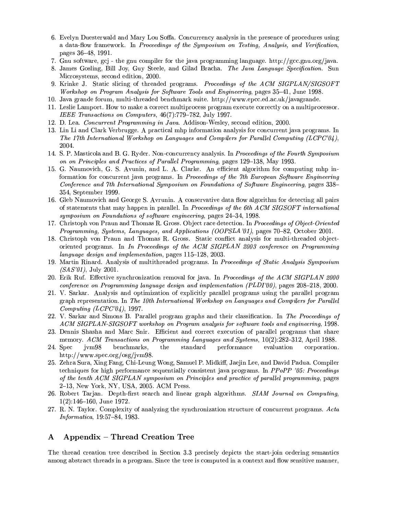- 6. Evelyn Duesterwald and Mary Lou Soffa. Concurrency analysis in the presence of procedures using a data-flow framework. In Proceedings of the Symposium on Testing, Analysis, and Verification, pages 36-48, 1991.
- 7. Gnu software, gcj the gnu compiler for the java programming language. http://gcc.gnu.org/java.
- 8. James Gosling, Bill Joy, Guy Steele, and Gilad Bracha. The Java Language Specification. Sun Microsystems, second edition, 2000.
- 9. Krinke J. Static slicing of threaded programs. Proceedings of the ACM SIGPLAN/SIGSOFT Workshop on Program Analysis for Software Tools and Engineering, pages 35–41, June 1998.
- 10. Java grande forum, multi-threaded benchmark suite. http://www.epcc.ed.ac.uk/javagrande.
- 11. Leslie Lamport. How to make a correct multiprocess program execute correctly on a multiprocessor. IEEE Transactions on Computers, 46(7):779-782, July 1997.
- 12. D. Lea. Concurrent Programming in Java. Addison-Wesley, second edition, 2000.
- 13. Lin Li and Clark Verbrugge, A practical mhp information analysis for concurrent java programs. In The 17th International Workshop on Languages and Compilers for Parallel Computing (LCPC'04), 2004.
- 14. S. P. Masticola and B. G. Ryder. Non-concurrency analysis. In Proceedings of the Fourth Symposium on on Principles and Practices of Parallel Programming, pages 129–138, May 1993.
- 15. G. Naumovich, G. S. Avunin, and L. A. Clarke. An efficient algorithm for computing mhp information for concurrent java programs. In Proceedings of the 7th European Software Engineering Conference and 7th International Symposium on Foundations of Software Engineering, pages 338– 354. September 1999.
- 16. Gleb Naumovich and George S. Avrunin. A conservative data flow algorithm for detecting all pairs of statements that may happen in parallel. In Proceedings of the 6th ACM SIGSOFT international symposium on Foundations of software engineering, pages 24–34, 1998.
- 17. Christoph von Praun and Thomas R. Gross. Object race detection. In Proceedings of Object-Oriented Programming, Systems, Languages, and Applications (OOPSLA'01), pages 70–82, October 2001.
- 18. Christoph von Praun and Thomas R. Gross. Static conflict analysis for multi-threaded objectoriented programs. In In Proceedings of the ACM SIGPLAN 2003 conference on Programming language design and implementation, pages 115-128, 2003.
- 19. Martin Rinard. Analysis of multithreaded programs. In Proceedings of Static Analysis Symposium  $(SAS'01)$ , July 2001.
- 20. Erik Ruf. Effective synchronization removal for java. In Proceedings of the ACM SIGPLAN 2000 conference on Programming language design and implementation  $(PLDI'00)$ , pages  $208-218$ , 2000.
- 21. V. Sarkar. Analysis and optimization of explicitly parallel programs using the parallel program graph representation. In The 10th International Workshop on Languages and Compilers for Parallel Computing  $(LCPC'04)$ , 1997.
- 22. V. Sarkar and Simons B. Parallel program graphs and their classification. In The Proceedings of ACM SIGPLAN-SIGSOFT workshop on Program analysis for software tools and engineering, 1998.
- 23. Dennis Shasha and Marc Snir. Efficient and correct execution of parallel programs that share memory. ACM Transactions on Programming Languages and Systems, 10(2):282-312, April 1988.
- 24. Spec jvm98 benchmarks. the standard performance evaluation corporation. http://www.spec.org/osg/jvm98.
- 25. Zehra Sura, Xing Fang, Chi-Leung Wong, Samuel P. Midkiff, Jaejin Lee, and David Padua. Compiler techniques for high performance sequentially consistent java programs. In PPoPP '05: Proceedings of the tenth ACM SIGPLAN symposium on Principles and practice of parallel programming, pages 2-13, New York, NY, USA, 2005. ACM Press.
- 26. Robert Tarjan. Depth-first search and linear graph algorithms. SIAM Journal on Computing,  $1(2):146-160$ , June 1972.
- 27. R. N. Taylor. Complexity of analyzing the synchronization structure of concurrent programs. Acta *Informatica*, 19:57-84, 1983.

#### Appendix - Thread Creation Tree  $\mathbf{A}$

The thread creation tree described in Section 3.3 precisely depicts the start-join ordering semantics among abstract threads in a program. Since the tree is computed in a context and flow sensitive manner.